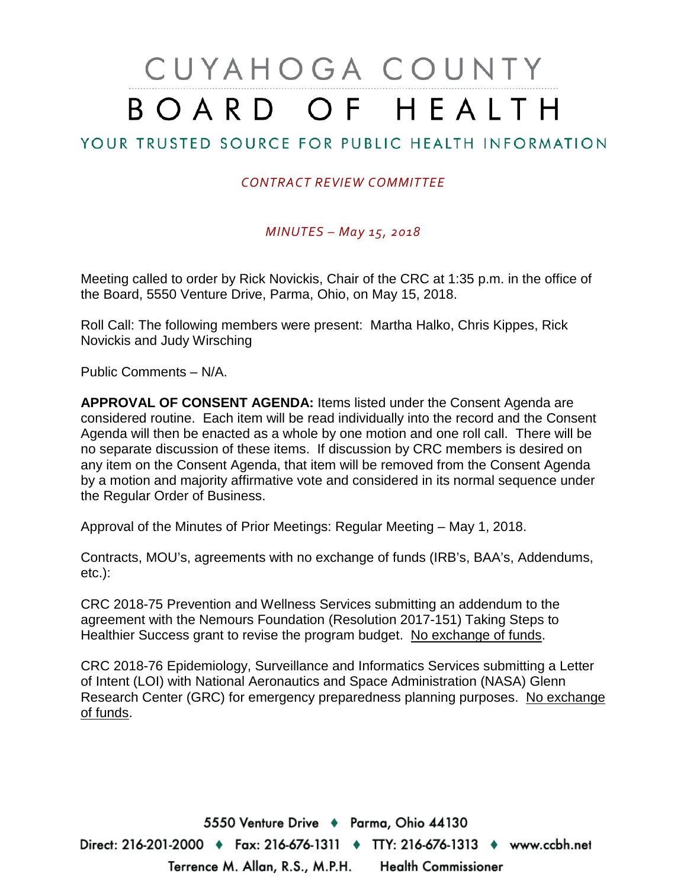# CUYAHOGA COUNTY BOARD OF HEALTH

# YOUR TRUSTED SOURCE FOR PUBLIC HEALTH INFORMATION

### *CONTRACT REVIEW COMMITTEE*

#### *MINUTES – May 15, 2018*

Meeting called to order by Rick Novickis, Chair of the CRC at 1:35 p.m. in the office of the Board, 5550 Venture Drive, Parma, Ohio, on May 15, 2018.

Roll Call: The following members were present: Martha Halko, Chris Kippes, Rick Novickis and Judy Wirsching

Public Comments – N/A.

**APPROVAL OF CONSENT AGENDA:** Items listed under the Consent Agenda are considered routine. Each item will be read individually into the record and the Consent Agenda will then be enacted as a whole by one motion and one roll call. There will be no separate discussion of these items. If discussion by CRC members is desired on any item on the Consent Agenda, that item will be removed from the Consent Agenda by a motion and majority affirmative vote and considered in its normal sequence under the Regular Order of Business.

Approval of the Minutes of Prior Meetings: Regular Meeting – May 1, 2018.

Contracts, MOU's, agreements with no exchange of funds (IRB's, BAA's, Addendums, etc.):

CRC 2018-75 Prevention and Wellness Services submitting an addendum to the agreement with the Nemours Foundation (Resolution 2017-151) Taking Steps to Healthier Success grant to revise the program budget. No exchange of funds.

CRC 2018-76 Epidemiology, Surveillance and Informatics Services submitting a Letter of Intent (LOI) with National Aeronautics and Space Administration (NASA) Glenn Research Center (GRC) for emergency preparedness planning purposes. No exchange of funds.

5550 Venture Drive + Parma, Ohio 44130 Direct: 216-201-2000 ♦ Fax: 216-676-1311 ♦ TTY: 216-676-1313 ♦ www.ccbh.net Terrence M. Allan, R.S., M.P.H. Health Commissioner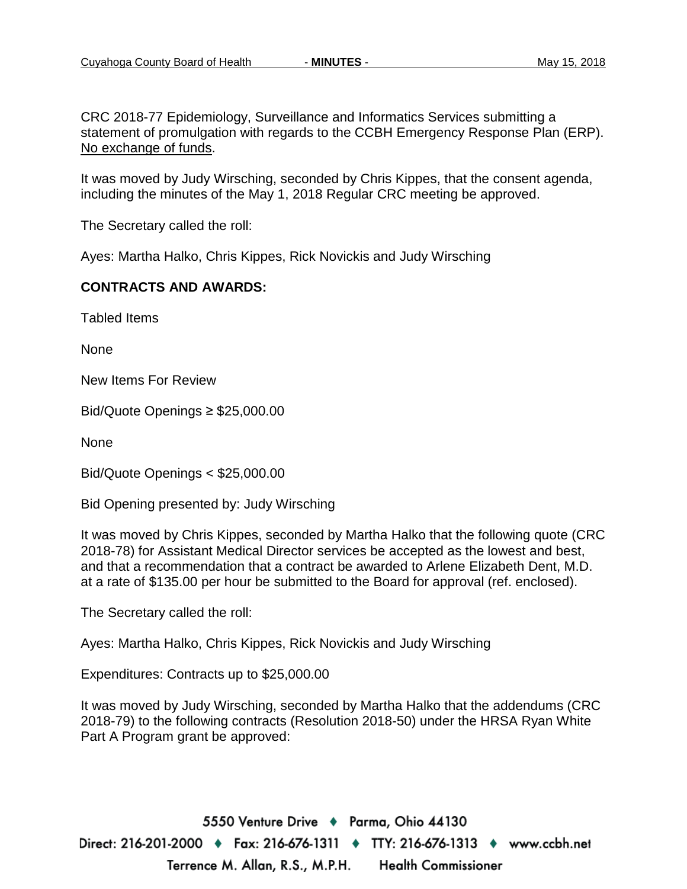CRC 2018-77 Epidemiology, Surveillance and Informatics Services submitting a statement of promulgation with regards to the CCBH Emergency Response Plan (ERP). No exchange of funds.

It was moved by Judy Wirsching, seconded by Chris Kippes, that the consent agenda, including the minutes of the May 1, 2018 Regular CRC meeting be approved.

The Secretary called the roll:

Ayes: Martha Halko, Chris Kippes, Rick Novickis and Judy Wirsching

#### **CONTRACTS AND AWARDS:**

Tabled Items

None

New Items For Review

Bid/Quote Openings ≥ \$25,000.00

None

Bid/Quote Openings < \$25,000.00

Bid Opening presented by: Judy Wirsching

It was moved by Chris Kippes, seconded by Martha Halko that the following quote (CRC 2018-78) for Assistant Medical Director services be accepted as the lowest and best, and that a recommendation that a contract be awarded to Arlene Elizabeth Dent, M.D. at a rate of \$135.00 per hour be submitted to the Board for approval (ref. enclosed).

The Secretary called the roll:

Ayes: Martha Halko, Chris Kippes, Rick Novickis and Judy Wirsching

Expenditures: Contracts up to \$25,000.00

It was moved by Judy Wirsching, seconded by Martha Halko that the addendums (CRC 2018-79) to the following contracts (Resolution 2018-50) under the HRSA Ryan White Part A Program grant be approved:

5550 Venture Drive + Parma, Ohio 44130 Direct: 216-201-2000 ♦ Fax: 216-676-1311 ♦ TTY: 216-676-1313 ♦ www.ccbh.net Terrence M. Allan, R.S., M.P.H. **Health Commissioner**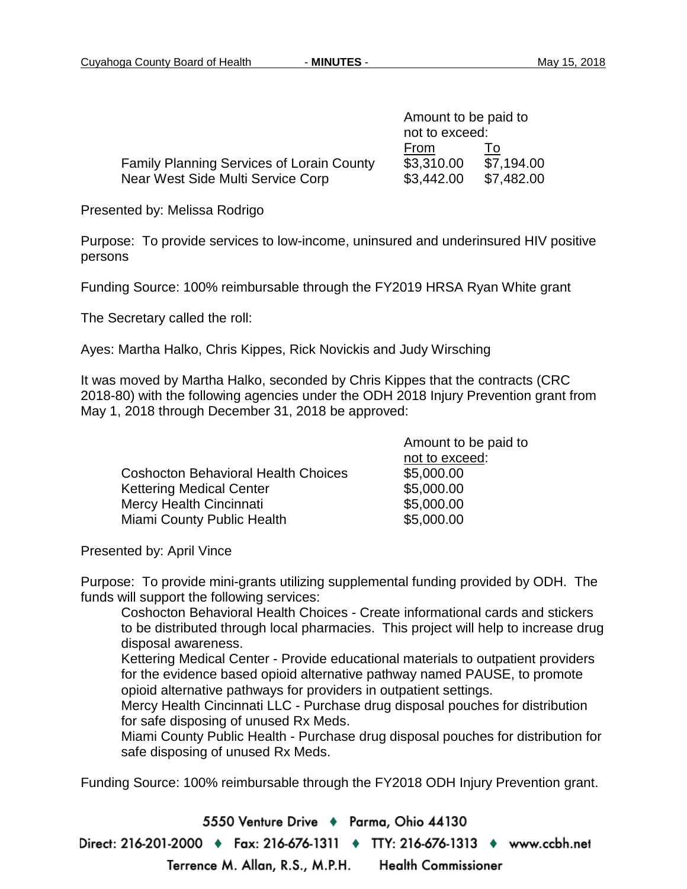|                                                  | Amount to be paid to<br>not to exceed: |            |
|--------------------------------------------------|----------------------------------------|------------|
|                                                  | From                                   | 10         |
| <b>Family Planning Services of Lorain County</b> | \$3,310.00                             | \$7,194.00 |
| Near West Side Multi Service Corp                | \$3,442.00                             | \$7,482.00 |

Presented by: Melissa Rodrigo

Purpose: To provide services to low-income, uninsured and underinsured HIV positive persons

Funding Source: 100% reimbursable through the FY2019 HRSA Ryan White grant

The Secretary called the roll:

Ayes: Martha Halko, Chris Kippes, Rick Novickis and Judy Wirsching

It was moved by Martha Halko, seconded by Chris Kippes that the contracts (CRC 2018-80) with the following agencies under the ODH 2018 Injury Prevention grant from May 1, 2018 through December 31, 2018 be approved:

|                                            | Amount to be paid to |  |
|--------------------------------------------|----------------------|--|
|                                            | not to exceed:       |  |
| <b>Coshocton Behavioral Health Choices</b> | \$5,000.00           |  |
| <b>Kettering Medical Center</b>            | \$5,000.00           |  |
| Mercy Health Cincinnati                    | \$5,000.00           |  |
| Miami County Public Health                 | \$5,000.00           |  |

Presented by: April Vince

Purpose: To provide mini-grants utilizing supplemental funding provided by ODH. The funds will support the following services:

Coshocton Behavioral Health Choices - Create informational cards and stickers to be distributed through local pharmacies. This project will help to increase drug disposal awareness.

Kettering Medical Center - Provide educational materials to outpatient providers for the evidence based opioid alternative pathway named PAUSE, to promote opioid alternative pathways for providers in outpatient settings.

Mercy Health Cincinnati LLC - Purchase drug disposal pouches for distribution for safe disposing of unused Rx Meds.

Miami County Public Health - Purchase drug disposal pouches for distribution for safe disposing of unused Rx Meds.

Funding Source: 100% reimbursable through the FY2018 ODH Injury Prevention grant.

5550 Venture Drive + Parma, Ohio 44130 Direct: 216-201-2000 ♦ Fax: 216-676-1311 ♦ TTY: 216-676-1313 ♦ www.ccbh.net Terrence M. Allan, R.S., M.P.H. Health Commissioner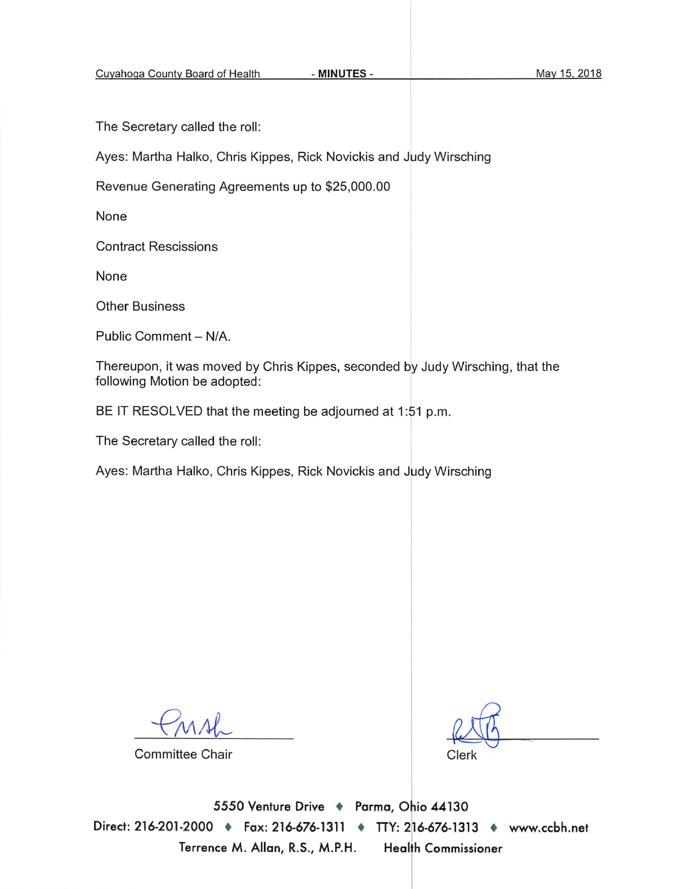The Secretary called the roll:

Ayes: Martha Halko, Chris Kippes, Rick Novickis and Judy Wirsching

Revenue Generating Agreements up to \$25,000.00

None

**Contract Rescissions** 

None

**Other Business** 

Public Comment - N/A.

Thereupon, it was moved by Chris Kippes, seconded by Judy Wirsching, that the following Motion be adopted:

BE IT RESOLVED that the meeting be adjourned at 1:51 p.m.

The Secretary called the roll:

Ayes: Martha Halko, Chris Kippes, Rick Novickis and Judy Wirsching

**Committee Chair** 

Clerk

5550 Venture Drive + Parma, Ohio 44130 Direct: 216-201-2000 ♦ Fax: 216-676-1311 ♦ TTY: 216-676-1313 ♦ www.ccbh.net Terrence M. Allan, R.S., M.P.H. **Health Commissioner**